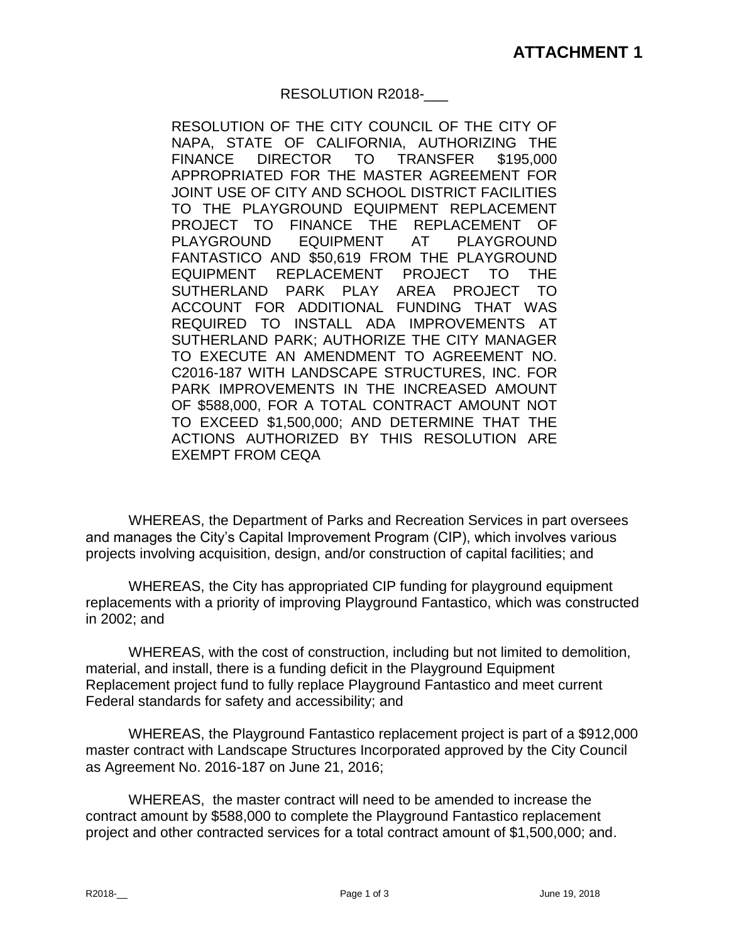## RESOLUTION R2018-\_\_\_

RESOLUTION OF THE CITY COUNCIL OF THE CITY OF NAPA, STATE OF CALIFORNIA, AUTHORIZING THE FINANCE DIRECTOR TO TRANSFER \$195,000 APPROPRIATED FOR THE MASTER AGREEMENT FOR JOINT USE OF CITY AND SCHOOL DISTRICT FACILITIES TO THE PLAYGROUND EQUIPMENT REPLACEMENT PROJECT TO FINANCE THE REPLACEMENT OF PLAYGROUND EQUIPMENT AT PLAYGROUND FANTASTICO AND \$50,619 FROM THE PLAYGROUND EQUIPMENT REPLACEMENT PROJECT TO THE SUTHERLAND PARK PLAY AREA PROJECT TO ACCOUNT FOR ADDITIONAL FUNDING THAT WAS REQUIRED TO INSTALL ADA IMPROVEMENTS AT SUTHERLAND PARK; AUTHORIZE THE CITY MANAGER TO EXECUTE AN AMENDMENT TO AGREEMENT NO. C2016-187 WITH LANDSCAPE STRUCTURES, INC. FOR PARK IMPROVEMENTS IN THE INCREASED AMOUNT OF \$588,000, FOR A TOTAL CONTRACT AMOUNT NOT TO EXCEED \$1,500,000; AND DETERMINE THAT THE ACTIONS AUTHORIZED BY THIS RESOLUTION ARE EXEMPT FROM CEQA

WHEREAS, the Department of Parks and Recreation Services in part oversees and manages the City's Capital Improvement Program (CIP), which involves various projects involving acquisition, design, and/or construction of capital facilities; and

WHEREAS, the City has appropriated CIP funding for playground equipment replacements with a priority of improving Playground Fantastico, which was constructed in 2002; and

WHEREAS, with the cost of construction, including but not limited to demolition, material, and install, there is a funding deficit in the Playground Equipment Replacement project fund to fully replace Playground Fantastico and meet current Federal standards for safety and accessibility; and

WHEREAS, the Playground Fantastico replacement project is part of a \$912,000 master contract with Landscape Structures Incorporated approved by the City Council as Agreement No. 2016-187 on June 21, 2016;

WHEREAS, the master contract will need to be amended to increase the contract amount by \$588,000 to complete the Playground Fantastico replacement project and other contracted services for a total contract amount of \$1,500,000; and.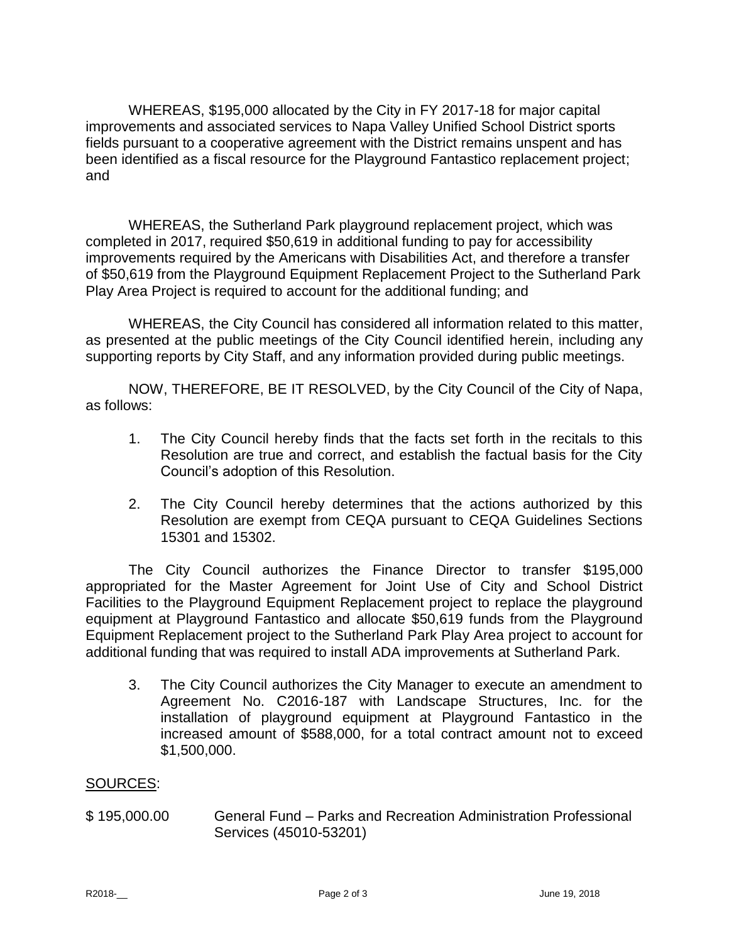WHEREAS, \$195,000 allocated by the City in FY 2017-18 for major capital improvements and associated services to Napa Valley Unified School District sports fields pursuant to a cooperative agreement with the District remains unspent and has been identified as a fiscal resource for the Playground Fantastico replacement project; and

WHEREAS, the Sutherland Park playground replacement project, which was completed in 2017, required \$50,619 in additional funding to pay for accessibility improvements required by the Americans with Disabilities Act, and therefore a transfer of \$50,619 from the Playground Equipment Replacement Project to the Sutherland Park Play Area Project is required to account for the additional funding; and

WHEREAS, the City Council has considered all information related to this matter, as presented at the public meetings of the City Council identified herein, including any supporting reports by City Staff, and any information provided during public meetings.

NOW, THEREFORE, BE IT RESOLVED, by the City Council of the City of Napa, as follows:

- 1. The City Council hereby finds that the facts set forth in the recitals to this Resolution are true and correct, and establish the factual basis for the City Council's adoption of this Resolution.
- 2. The City Council hereby determines that the actions authorized by this Resolution are exempt from CEQA pursuant to CEQA Guidelines Sections 15301 and 15302.

The City Council authorizes the Finance Director to transfer \$195,000 appropriated for the Master Agreement for Joint Use of City and School District Facilities to the Playground Equipment Replacement project to replace the playground equipment at Playground Fantastico and allocate \$50,619 funds from the Playground Equipment Replacement project to the Sutherland Park Play Area project to account for additional funding that was required to install ADA improvements at Sutherland Park.

3. The City Council authorizes the City Manager to execute an amendment to Agreement No. C2016-187 with Landscape Structures, Inc. for the installation of playground equipment at Playground Fantastico in the increased amount of \$588,000, for a total contract amount not to exceed \$1,500,000.

## SOURCES:

\$ 195,000.00 General Fund – Parks and Recreation Administration Professional Services (45010-53201)